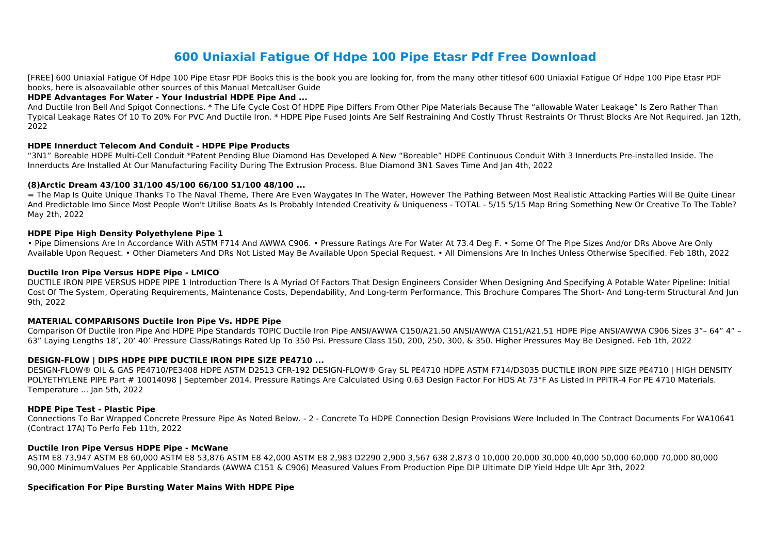# **600 Uniaxial Fatigue Of Hdpe 100 Pipe Etasr Pdf Free Download**

[FREE] 600 Uniaxial Fatigue Of Hdpe 100 Pipe Etasr PDF Books this is the book you are looking for, from the many other titlesof 600 Uniaxial Fatigue Of Hdpe 100 Pipe Etasr PDF books, here is alsoavailable other sources of this Manual MetcalUser Guide

### **HDPE Advantages For Water - Your Industrial HDPE Pipe And ...**

And Ductile Iron Bell And Spigot Connections. \* The Life Cycle Cost Of HDPE Pipe Differs From Other Pipe Materials Because The "allowable Water Leakage" Is Zero Rather Than Typical Leakage Rates Of 10 To 20% For PVC And Ductile Iron. \* HDPE Pipe Fused Joints Are Self Restraining And Costly Thrust Restraints Or Thrust Blocks Are Not Required. Jan 12th, 2022

# **HDPE Innerduct Telecom And Conduit - HDPE Pipe Products**

"3N1" Boreable HDPE Multi-Cell Conduit \*Patent Pending Blue Diamond Has Developed A New "Boreable" HDPE Continuous Conduit With 3 Innerducts Pre-installed Inside. The Innerducts Are Installed At Our Manufacturing Facility During The Extrusion Process. Blue Diamond 3N1 Saves Time And Jan 4th, 2022

• Pipe Dimensions Are In Accordance With ASTM F714 And AWWA C906. • Pressure Ratings Are For Water At 73.4 Deg F. • Some Of The Pipe Sizes And/or DRs Above Are Only Available Upon Request. • Other Diameters And DRs Not Listed May Be Available Upon Special Request. • All Dimensions Are In Inches Unless Otherwise Specified. Feb 18th, 2022

#### **(8)Arctic Dream 43/100 31/100 45/100 66/100 51/100 48/100 ...**

= The Map Is Quite Unique Thanks To The Naval Theme, There Are Even Waygates In The Water, However The Pathing Between Most Realistic Attacking Parties Will Be Quite Linear And Predictable Imo Since Most People Won't Utilise Boats As Is Probably Intended Creativity & Uniqueness - TOTAL - 5/15 5/15 Map Bring Something New Or Creative To The Table? May 2th, 2022

# **HDPE Pipe High Density Polyethylene Pipe 1**

# **Ductile Iron Pipe Versus HDPE Pipe - LMICO**

DUCTILE IRON PIPE VERSUS HDPE PIPE 1 Introduction There Is A Myriad Of Factors That Design Engineers Consider When Designing And Specifying A Potable Water Pipeline: Initial Cost Of The System, Operating Requirements, Maintenance Costs, Dependability, And Long-term Performance. This Brochure Compares The Short- And Long-term Structural And Jun 9th, 2022

# **MATERIAL COMPARISONS Ductile Iron Pipe Vs. HDPE Pipe**

Comparison Of Ductile Iron Pipe And HDPE Pipe Standards TOPIC Ductile Iron Pipe ANSI/AWWA C150/A21.50 ANSI/AWWA C151/A21.51 HDPE Pipe ANSI/AWWA C906 Sizes 3"– 64" 4" – 63" Laying Lengths 18', 20' 40' Pressure Class/Ratings Rated Up To 350 Psi. Pressure Class 150, 200, 250, 300, & 350. Higher Pressures May Be Designed. Feb 1th, 2022

# **DESIGN-FLOW | DIPS HDPE PIPE DUCTILE IRON PIPE SIZE PE4710 ...**

DESIGN-FLOW® OIL & GAS PE4710/PE3408 HDPE ASTM D2513 CFR-192 DESIGN-FLOW® Gray SL PE4710 HDPE ASTM F714/D3035 DUCTILE IRON PIPE SIZE PE4710 | HIGH DENSITY POLYETHYLENE PIPE Part # 10014098 | September 2014. Pressure Ratings Are Calculated Using 0.63 Design Factor For HDS At 73°F As Listed In PPITR-4 For PE 4710 Materials. Temperature ... Jan 5th, 2022

#### **HDPE Pipe Test - Plastic Pipe**

Connections To Bar Wrapped Concrete Pressure Pipe As Noted Below. - 2 - Concrete To HDPE Connection Design Provisions Were Included In The Contract Documents For WA10641 (Contract 17A) To Perfo Feb 11th, 2022

#### **Ductile Iron Pipe Versus HDPE Pipe - McWane**

ASTM E8 73,947 ASTM E8 60,000 ASTM E8 53,876 ASTM E8 42,000 ASTM E8 2,983 D2290 2,900 3,567 638 2,873 0 10,000 20,000 30,000 40,000 50,000 60,000 70,000 80,000 90,000 MinimumValues Per Applicable Standards (AWWA C151 & C906) Measured Values From Production Pipe DIP Ultimate DIP Yield Hdpe Ult Apr 3th, 2022

# **Specification For Pipe Bursting Water Mains With HDPE Pipe**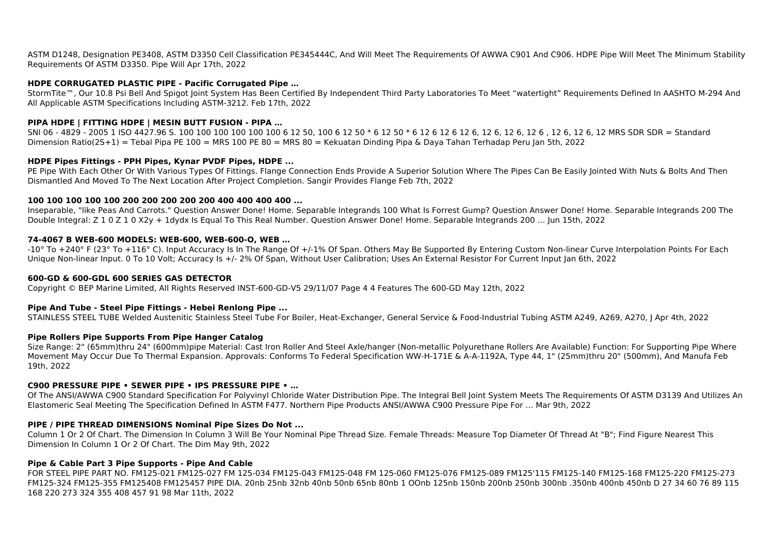ASTM D1248, Designation PE3408, ASTM D3350 Cell Classification PE345444C, And Will Meet The Requirements Of AWWA C901 And C906. HDPE Pipe Will Meet The Minimum Stability Requirements Of ASTM D3350. Pipe Will Apr 17th, 2022

### **HDPE CORRUGATED PLASTIC PIPE - Pacific Corrugated Pipe …**

StormTite™, Our 10.8 Psi Bell And Spigot Joint System Has Been Certified By Independent Third Party Laboratories To Meet "watertight" Requirements Defined In AASHTO M-294 And All Applicable ASTM Specifications Including ASTM-3212. Feb 17th, 2022

# **PIPA HDPE | FITTING HDPE | MESIN BUTT FUSION - PIPA …**

SNI 06 - 4829 - 2005 1 ISO 4427.96 S. 100 100 100 100 100 6 10 50, 100 6 12 50 \* 6 12 50 \* 6 12 6 12 6 12 6, 12 6, 12 6, 12 6, 12 6, 12 MRS SDR SDR = Standard Dimension Ratio(2S+1) = Tebal Pipa PE 100 = MRS 100 PE 80 = MRS 80 = Kekuatan Dinding Pipa & Daya Tahan Terhadap Peru Jan 5th, 2022

PE Pipe With Each Other Or With Various Types Of Fittings. Flange Connection Ends Provide A Superior Solution Where The Pipes Can Be Easily Jointed With Nuts & Bolts And Then Dismantled And Moved To The Next Location After Project Completion. Sangir Provides Flange Feb 7th, 2022

#### **HDPE Pipes Fittings - PPH Pipes, Kynar PVDF Pipes, HDPE ...**

-10° To +240° F (23° To +116° C). Input Accuracy Is In The Range Of +/-1% Of Span. Others May Be Supported By Entering Custom Non-linear Curve Interpolation Points For Each Unique Non-linear Input. 0 To 10 Volt; Accuracy Is +/- 2% Of Span, Without User Calibration; Uses An External Resistor For Current Input Jan 6th, 2022

#### **100 100 100 100 100 200 200 200 200 200 400 400 400 400 ...**

Inseparable, "like Peas And Carrots." Question Answer Done! Home. Separable Integrands 100 What Is Forrest Gump? Question Answer Done! Home. Separable Integrands 200 The Double Integral: Z 1 0 Z 1 0 X2y + 1dydx Is Equal To This Real Number. Question Answer Done! Home. Separable Integrands 200 … Jun 15th, 2022

# **74-4067 B WEB-600 MODELS: WEB-600, WEB-600-O, WEB …**

#### **600-GD & 600-GDL 600 SERIES GAS DETECTOR**

Copyright © BEP Marine Limited, All Rights Reserved INST-600-GD-V5 29/11/07 Page 4 4 Features The 600-GD May 12th, 2022

#### **Pipe And Tube - Steel Pipe Fittings - Hebei Renlong Pipe ...**

STAINLESS STEEL TUBE Welded Austenitic Stainless Steel Tube For Boiler, Heat-Exchanger, General Service & Food-Industrial Tubing ASTM A249, A269, A270, J Apr 4th, 2022

#### **Pipe Rollers Pipe Supports From Pipe Hanger Catalog**

Size Range: 2" (65mm)thru 24" (600mm)pipe Material: Cast Iron Roller And Steel Axle/hanger (Non-metallic Polyurethane Rollers Are Available) Function: For Supporting Pipe Where Movement May Occur Due To Thermal Expansion. Approvals: Conforms To Federal Specification WW-H-171E & A-A-1192A, Type 44, 1" (25mm)thru 20" (500mm), And Manufa Feb 19th, 2022

#### **C900 PRESSURE PIPE • SEWER PIPE • IPS PRESSURE PIPE • …**

Of The ANSI/AWWA C900 Standard Specification For Polyvinyl Chloride Water Distribution Pipe. The Integral Bell Joint System Meets The Requirements Of ASTM D3139 And Utilizes An Elastomeric Seal Meeting The Specification Defined In ASTM F477. Northern Pipe Products ANSI/AWWA C900 Pressure Pipe For … Mar 9th, 2022

#### **PIPE / PIPE THREAD DIMENSIONS Nominal Pipe Sizes Do Not ...**

Column 1 Or 2 Of Chart. The Dimension In Column 3 Will Be Your Nominal Pipe Thread Size. Female Threads: Measure Top Diameter Of Thread At "B"; Find Figure Nearest This Dimension In Column 1 Or 2 Of Chart. The Dim May 9th, 2022

#### **Pipe & Cable Part 3 Pipe Supports - Pipe And Cable**

FOR STEEL PIPE PART NO. FM125-021 FM125-027 FM 125-034 FM125-043 FM125-048 FM 125-060 FM125-076 FM125-089 FM125'115 FM125-140 FM125-168 FM125-220 FM125-273 FM125-324 FM125-355 FM125408 FM125457 PIPE DIA. 20nb 25nb 32nb 40nb 50nb 65nb 80nb 1 OOnb 125nb 150nb 200nb 250nb 300nb .350nb 400nb 450nb D 27 34 60 76 89 115 168 220 273 324 355 408 457 91 98 Mar 11th, 2022